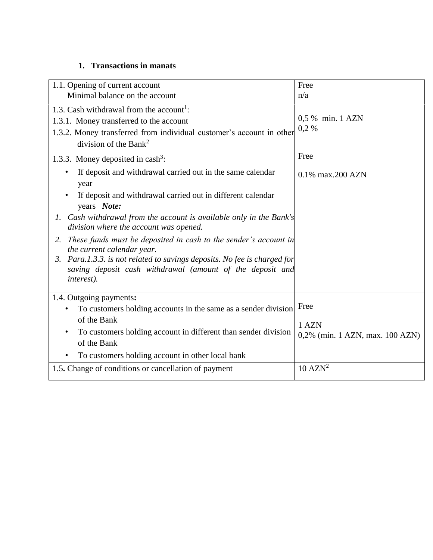## **1. Transactions in manats**

| 1.1. Opening of current account                                                                                                                                                                              | Free                            |
|--------------------------------------------------------------------------------------------------------------------------------------------------------------------------------------------------------------|---------------------------------|
| Minimal balance on the account                                                                                                                                                                               | n/a                             |
| 1.3. Cash withdrawal from the account <sup>1</sup> :<br>1.3.1. Money transferred to the account<br>1.3.2. Money transferred from individual customer's account in other<br>division of the Bank <sup>2</sup> | 0,5 % min. 1 AZN<br>0,2%        |
| 1.3.3. Money deposited in cash <sup>3</sup> :                                                                                                                                                                | Free                            |
| If deposit and withdrawal carried out in the same calendar<br>year                                                                                                                                           | 0.1% max.200 AZN                |
| If deposit and withdrawal carried out in different calendar<br>years Note:                                                                                                                                   |                                 |
| Cash withdrawal from the account is available only in the Bank's<br>$\mathfrak{1}.$<br>division where the account was opened.                                                                                |                                 |
| 2. These funds must be deposited in cash to the sender's account in<br>the current calendar year.                                                                                                            |                                 |
| Para.1.3.3. is not related to savings deposits. No fee is charged for<br>3.<br>saving deposit cash withdrawal (amount of the deposit and<br><i>interest</i> ).                                               |                                 |
| 1.4. Outgoing payments:                                                                                                                                                                                      |                                 |
| To customers holding accounts in the same as a sender division                                                                                                                                               | Free                            |
| of the Bank                                                                                                                                                                                                  | 1 AZN                           |
| To customers holding account in different than sender division<br>of the Bank                                                                                                                                | 0,2% (min. 1 AZN, max. 100 AZN) |
| To customers holding account in other local bank                                                                                                                                                             |                                 |
| 1.5. Change of conditions or cancellation of payment                                                                                                                                                         | $10 \text{ }$ AZN <sup>2</sup>  |
|                                                                                                                                                                                                              |                                 |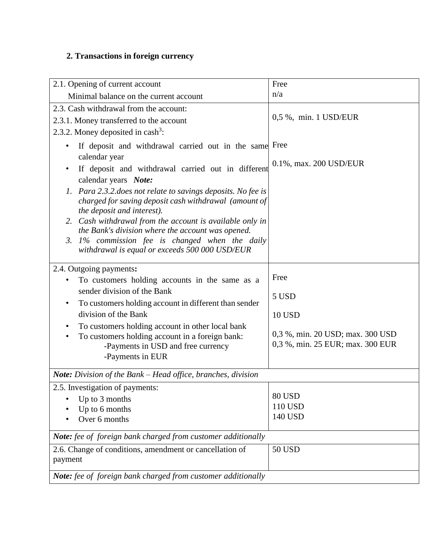# **2. Transactions in foreign currency**

٦

| 2.1. Opening of current account                                                                                                                                                                                                                                                                                                                                                                                                                                                                                                                 | Free                                                                                                   |
|-------------------------------------------------------------------------------------------------------------------------------------------------------------------------------------------------------------------------------------------------------------------------------------------------------------------------------------------------------------------------------------------------------------------------------------------------------------------------------------------------------------------------------------------------|--------------------------------------------------------------------------------------------------------|
| Minimal balance on the current account                                                                                                                                                                                                                                                                                                                                                                                                                                                                                                          | n/a                                                                                                    |
| 2.3. Cash withdrawal from the account:<br>2.3.1. Money transferred to the account<br>2.3.2. Money deposited in cash <sup>3</sup> :                                                                                                                                                                                                                                                                                                                                                                                                              | 0,5 %, min. 1 USD/EUR                                                                                  |
| If deposit and withdrawal carried out in the same Free<br>$\bullet$<br>calendar year<br>If deposit and withdrawal carried out in different<br>calendar years Note:<br>1. Para 2.3.2. does not relate to savings deposits. No fee is<br>charged for saving deposit cash withdrawal (amount of<br>the deposit and interest).<br>2. Cash withdrawal from the account is available only in<br>the Bank's division where the account was opened.<br>3. 1% commission fee is changed when the daily<br>withdrawal is equal or exceeds 500 000 USD/EUR | 0.1%, max. 200 USD/EUR                                                                                 |
| 2.4. Outgoing payments:<br>To customers holding accounts in the same as a<br>sender division of the Bank<br>To customers holding account in different than sender<br>$\bullet$<br>division of the Bank<br>To customers holding account in other local bank<br>To customers holding account in a foreign bank:<br>-Payments in USD and free currency<br>-Payments in EUR                                                                                                                                                                         | Free<br>5 USD<br><b>10 USD</b><br>0,3 %, min. 20 USD; max. 300 USD<br>0,3 %, min. 25 EUR; max. 300 EUR |
| <b>Note:</b> Division of the Bank – Head office, branches, division                                                                                                                                                                                                                                                                                                                                                                                                                                                                             |                                                                                                        |
| 2.5. Investigation of payments:<br>Up to 3 months<br>Up to 6 months<br>Over 6 months                                                                                                                                                                                                                                                                                                                                                                                                                                                            | 80 USD<br>110 USD<br>140 USD                                                                           |
| Note: fee of foreign bank charged from customer additionally                                                                                                                                                                                                                                                                                                                                                                                                                                                                                    |                                                                                                        |
| 2.6. Change of conditions, amendment or cancellation of<br>payment                                                                                                                                                                                                                                                                                                                                                                                                                                                                              | <b>50 USD</b>                                                                                          |
| Note: fee of foreign bank charged from customer additionally                                                                                                                                                                                                                                                                                                                                                                                                                                                                                    |                                                                                                        |